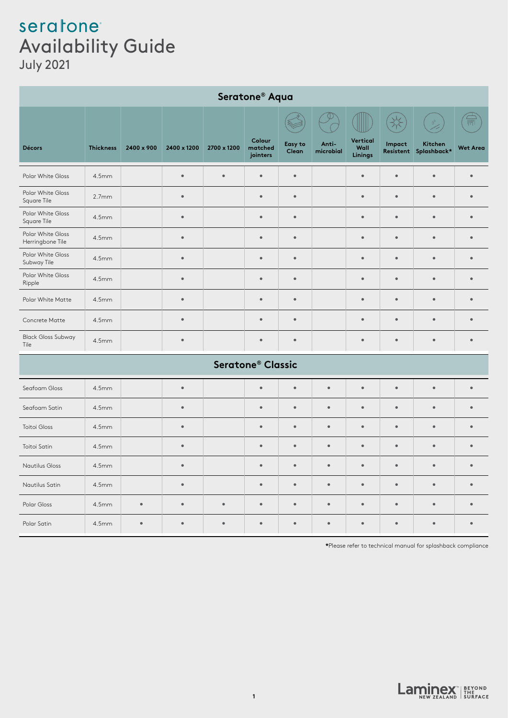## seratone Availability Guide July 2021

| Seratone <sup>®</sup> Aqua            |                   |            |             |             |                               |                  |                    |                             |           |                                  |                                                |
|---------------------------------------|-------------------|------------|-------------|-------------|-------------------------------|------------------|--------------------|-----------------------------|-----------|----------------------------------|------------------------------------------------|
|                                       |                   |            |             |             |                               |                  |                    |                             |           |                                  | $\widehat{\overline{\mathbb{H}^{\mathbb{N}}}}$ |
| <b>Décors</b>                         | <b>Thickness</b>  | 2400 x 900 | 2400 x 1200 | 2700 x 1200 | Colour<br>matched<br>jointers | Easy to<br>Clean | Anti-<br>microbial | Vertical<br>Wall<br>Linings | Impact    | Kitchen<br>Resistent Splashback* | <b>Wet Area</b>                                |
| Polar White Gloss                     | 4.5mm             |            | $\bullet$   | $\bullet$   | $\bullet$                     | $\bullet$        |                    | $\bullet$                   | $\bullet$ | $\bullet$                        | $\bullet$                                      |
| Polar White Gloss<br>Square Tile      | 2.7mm             |            | $\bullet$   |             | $\bullet$                     | $\bullet$        |                    | $\bullet$                   | $\bullet$ | $\bullet$                        | $\bullet$                                      |
| Polar White Gloss<br>Square Tile      | 4.5mm             |            | $\bullet$   |             | $\bullet$                     | $\bullet$        |                    | $\bullet$                   | $\bullet$ | $\bullet$                        | $\bullet$                                      |
| Polar White Gloss<br>Herringbone Tile | 4.5mm             |            | $\bullet$   |             | $\bullet$                     | $\bullet$        |                    | $\bullet$                   | $\bullet$ | $\bullet$                        | $\bullet$                                      |
| Polar White Gloss<br>Subway Tile      | 4.5mm             |            | $\bullet$   |             | $\bullet$                     | $\bullet$        |                    | $\bullet$                   | $\bullet$ | $\bullet$                        | $\bullet$                                      |
| Polar White Gloss<br>Ripple           | 4.5mm             |            | $\bullet$   |             | $\bullet$                     | $\bullet$        |                    | $\bullet$                   | $\bullet$ | $\bullet$                        | $\bullet$                                      |
| Polar White Matte                     | 4.5mm             |            | $\bullet$   |             | $\bullet$                     | $\bullet$        |                    | $\bullet$                   | $\bullet$ | $\bullet$                        | $\bullet$                                      |
| Concrete Matte                        | 4.5mm             |            | $\bullet$   |             | $\bullet$                     | $\bullet$        |                    | $\bullet$                   | $\bullet$ | $\bullet$                        | $\bullet$                                      |
| <b>Black Gloss Subway</b><br>Tile     | 4.5mm             |            | $\bullet$   |             | $\bullet$                     | $\bullet$        |                    | $\bullet$                   | $\bullet$ | $\bullet$                        | $\bullet$                                      |
| Seratone <sup>®</sup> Classic         |                   |            |             |             |                               |                  |                    |                             |           |                                  |                                                |
| Seafoam Gloss                         | 4.5mm             |            | $\bullet$   |             | $\bullet$                     | $\bullet$        | $\bullet$          | $\bullet$                   | $\bullet$ | $\bullet$                        | $\bullet$                                      |
| Seafoam Satin                         | 4.5mm             |            | $\bullet$   |             | $\bullet$                     | $\bullet$        | $\bullet$          | $\bullet$                   | $\bullet$ | $\bullet$                        | $\bullet$                                      |
| Toitoi Gloss                          | 4.5mm             |            | $\bullet$   |             | $\bullet$                     | $\bullet$        | $\bullet$          | $\bullet$                   | $\bullet$ | $\bullet$                        | $\bullet$                                      |
| Toitoi Satin                          | 4.5mm             |            | $\bullet$   |             | $\bullet$                     | $\bullet$        | $\bullet$          | $\bullet$                   | $\bullet$ | $\bullet$                        | $\bullet$                                      |
| Nautilus Gloss                        | 4.5 <sub>mm</sub> |            | $\bullet$   |             | $\bullet$                     | $\bullet$        | $\bullet$          | $\bullet$                   | $\bullet$ | $\bullet$                        | $\bullet$                                      |
| Nautilus Satin                        | 4.5mm             |            | $\bullet$   |             | $\bullet$                     | $\bullet$        | $\bullet$          | $\bullet$                   | $\bullet$ | $\bullet$                        | $\bullet$                                      |
| Polar Gloss                           | 4.5mm             | $\bullet$  | $\bullet$   | $\bullet$   | $\bullet$                     | $\bullet$        | $\bullet$          | $\bullet$                   | $\bullet$ | $\bullet$                        | $\bullet$                                      |
| Polar Satin                           | 4.5 <sub>mm</sub> | $\bullet$  | $\bullet$   | $\bullet$   | $\bullet$                     | $\bullet$        | $\bullet$          | $\bullet$                   | $\bullet$ | $\bullet$                        | $\bullet$                                      |

**\***Please refer to technical manual for splashback compliance